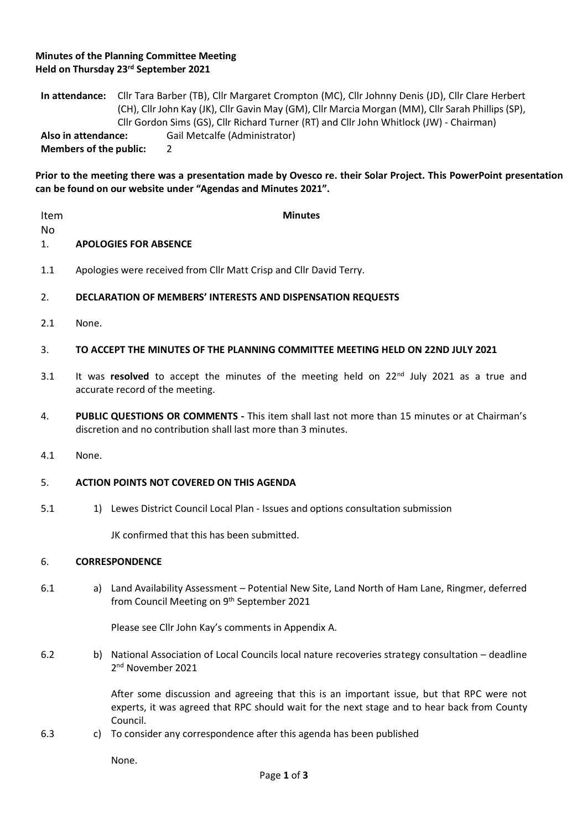## **Minutes of the Planning Committee Meeting Held on Thursday 23rd September 2021**

**In attendance:** Cllr Tara Barber (TB), Cllr Margaret Crompton (MC), Cllr Johnny Denis (JD), Cllr Clare Herbert (CH), Cllr John Kay (JK), Cllr Gavin May (GM), Cllr Marcia Morgan (MM), Cllr Sarah Phillips (SP), Cllr Gordon Sims (GS), Cllr Richard Turner (RT) and Cllr John Whitlock (JW) - Chairman) **Also in attendance:** Gail Metcalfe (Administrator) **Members of the public:** 2

**Prior to the meeting there was a presentation made by Ovesco re. their Solar Project. This PowerPoint presentation can be found on our website under "Agendas and Minutes 2021".**

| Item<br>No  | <b>Minutes</b>                                                                                                                                                  |                                                                                                                                                                                                      |
|-------------|-----------------------------------------------------------------------------------------------------------------------------------------------------------------|------------------------------------------------------------------------------------------------------------------------------------------------------------------------------------------------------|
| 1.          | <b>APOLOGIES FOR ABSENCE</b>                                                                                                                                    |                                                                                                                                                                                                      |
| 1.1         | Apologies were received from Cllr Matt Crisp and Cllr David Terry.                                                                                              |                                                                                                                                                                                                      |
| 2.          | DECLARATION OF MEMBERS' INTERESTS AND DISPENSATION REQUESTS                                                                                                     |                                                                                                                                                                                                      |
| 2.1         | None.                                                                                                                                                           |                                                                                                                                                                                                      |
| 3.          | TO ACCEPT THE MINUTES OF THE PLANNING COMMITTEE MEETING HELD ON 22ND JULY 2021                                                                                  |                                                                                                                                                                                                      |
| 3.1         | It was resolved to accept the minutes of the meeting held on $22nd$ July 2021 as a true and<br>accurate record of the meeting.                                  |                                                                                                                                                                                                      |
| 4.          | PUBLIC QUESTIONS OR COMMENTS - This item shall last not more than 15 minutes or at Chairman's<br>discretion and no contribution shall last more than 3 minutes. |                                                                                                                                                                                                      |
| 4.1         | None.                                                                                                                                                           |                                                                                                                                                                                                      |
| 5.          | <b>ACTION POINTS NOT COVERED ON THIS AGENDA</b>                                                                                                                 |                                                                                                                                                                                                      |
| 5.1         |                                                                                                                                                                 | 1) Lewes District Council Local Plan - Issues and options consultation submission                                                                                                                    |
|             |                                                                                                                                                                 | JK confirmed that this has been submitted.                                                                                                                                                           |
| 6.          | <b>CORRESPONDENCE</b>                                                                                                                                           |                                                                                                                                                                                                      |
| 6.1         |                                                                                                                                                                 | a) Land Availability Assessment - Potential New Site, Land North of Ham Lane, Ringmer, deferred<br>from Council Meeting on 9th September 2021                                                        |
|             |                                                                                                                                                                 | Please see Cllr John Kay's comments in Appendix A.                                                                                                                                                   |
| 6.2         | b)                                                                                                                                                              | National Association of Local Councils local nature recoveries strategy consultation - deadline<br>2 <sup>nd</sup> November 2021                                                                     |
|             |                                                                                                                                                                 | After some discussion and agreeing that this is an important issue, but that RPC were not<br>experts, it was agreed that RPC should wait for the next stage and to hear back from County<br>Council. |
| 6.3         | C)                                                                                                                                                              | To consider any correspondence after this agenda has been published                                                                                                                                  |
|             |                                                                                                                                                                 | None.                                                                                                                                                                                                |
| Page 1 of 3 |                                                                                                                                                                 |                                                                                                                                                                                                      |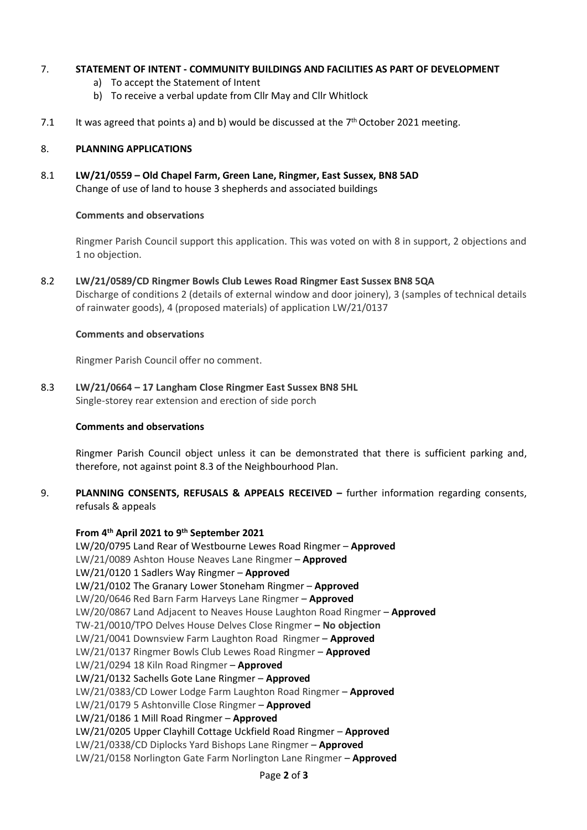## 7. **STATEMENT OF INTENT - COMMUNITY BUILDINGS AND FACILITIES AS PART OF DEVELOPMENT**

- a) To accept the Statement of Intent
- b) To receive a verbal update from Cllr May and Cllr Whitlock
- 7.1 It was agreed that points a) and b) would be discussed at the  $7<sup>th</sup>$  October 2021 meeting.

#### 8. **PLANNING APPLICATIONS**

8.1 **LW/21/0559 – Old Chapel Farm, Green Lane, Ringmer, East Sussex, BN8 5AD** Change of use of land to house 3 shepherds and associated buildings

## **Comments and observations**

Ringmer Parish Council support this application. This was voted on with 8 in support, 2 objections and 1 no objection.

8.2 **LW/21/0589/CD Ringmer Bowls Club Lewes Road Ringmer East Sussex BN8 5QA** Discharge of conditions 2 (details of external window and door joinery), 3 (samples of technical details of rainwater goods), 4 (proposed materials) of application LW/21/0137

## **Comments and observations**

Ringmer Parish Council offer no comment.

8.3 **LW/21/0664 – 17 Langham Close Ringmer East Sussex BN8 5HL** Single-storey rear extension and erection of side porch

#### **Comments and observations**

Ringmer Parish Council object unless it can be demonstrated that there is sufficient parking and, therefore, not against point 8.3 of the Neighbourhood Plan.

9. **PLANNING CONSENTS, REFUSALS & APPEALS RECEIVED –** further information regarding consents, refusals & appeals

**From 4th April 2021 to 9th September 2021** LW/20/0795 Land Rear of Westbourne Lewes Road Ringmer – **Approved** LW/21/0089 Ashton House Neaves Lane Ringmer – **Approved** LW/21/0120 1 Sadlers Way Ringmer – **Approved** LW/21/0102 The Granary Lower Stoneham Ringmer – **Approved** LW/20/0646 Red Barn Farm Harveys Lane Ringmer – **Approved** LW/20/0867 Land Adjacent to Neaves House Laughton Road Ringmer – **Approved** TW-21/0010/TPO Delves House Delves Close Ringmer **– No objection** LW/21/0041 Downsview Farm Laughton Road Ringmer – **Approved** LW/21/0137 Ringmer Bowls Club Lewes Road Ringmer – **Approved** LW/21/0294 18 Kiln Road Ringmer – **Approved** LW/21/0132 Sachells Gote Lane Ringmer – **Approved** LW/21/0383/CD Lower Lodge Farm Laughton Road Ringmer – **Approved** LW/21/0179 5 Ashtonville Close Ringmer – **Approved** LW/21/0186 1 Mill Road Ringmer – **Approved** LW/21/0205 Upper Clayhill Cottage Uckfield Road Ringmer – **Approved** LW/21/0338/CD Diplocks Yard Bishops Lane Ringmer – **Approved** LW/21/0158 Norlington Gate Farm Norlington Lane Ringmer – **Approved**